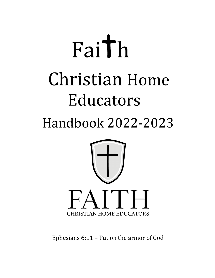# Faith **Christian Home** Educators Handbook 2022-2023



Ephesians 6:11 – Put on the armor of God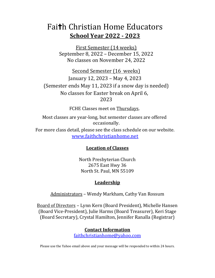## Faith Christian Home Educators School Year 2022 - 2023

First Semester (14 weeks) September 8, 2022 – December 15, 2022 No classes on November 24, 2022

Second Semester (16 weeks) January 12, 2023 – May 4, 2023 (Semester ends May 11, 2023 if a snow day is needed) No classes for Easter break on April 6, 2023

FCHE Classes meet on Thursdays.

Most classes are year-long, but semester classes are offered occasionally. For more class detail, please see the class schedule on our website. www.faithchristianhome.net

#### Location of Classes

North Presbyterian Church 2675 East Hwy 36 North St. Paul, MN 55109

#### **Leadership**

Administrators – Wendy Markham, Cathy Van Rossum

Board of Directors – Lynn Kern (Board President), Michelle Hansen (Board Vice-President), Julie Harms (Board Treasurer), Keri Stage (Board Secretary), Crystal Hamilton, Jennifer Ranalla (Registrar)

#### Contact Information

faithchristianhome@yahoo.com

Please use the Yahoo email above and your message will be responded to within 24 hours.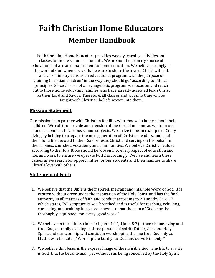# Faith Christian Home Educators Member Handbook

 Faith Christian Home Educators provides weekly learning activities and classes for home schooled students. We are not the primary source of education, but are an enhancement to home education. We believe strongly in the word of God when it says that we are to share the love of Christ with all, and this ministry runs as an educational program with the purpose of training Christian children "in the way they should go" according to Biblical principles. Since this is not an evangelistic program, we focus on and reach out to those home educating families who have already accepted Jesus Christ as their Lord and Savior. Therefore, all classes and worship time will be taught with Christian beliefs woven into them.

#### Mission Statement

Our mission is to partner with Christian families who choose to home school their children. We exist to provide an extension of the Christian home as we train our student members in various school subjects. We strive to be an example of Godly living by helping to prepare the next generation of Christian leaders, and equip them for a life devoted to their Savior Jesus Christ and serving on His behalf in their homes, churches, vocations, and communities. We believe Christian values according to the Holy Bible should be woven into every aspect of education and life, and work to ensure we operate FCHE accordingly. We live and teach these values as we search for opportunities for our students and their families to share Christ's love with others.

#### Statement of Faith

- 1. We believe that the Bible is the inspired, inerrant and infallible Word of God. It is written without error under the inspiration of the Holy Spirit, and has the final authority in all matters of faith and conduct according to 2 Timothy 3:16-17, which states, "All scripture is God-breathed and is useful for teaching, rebuking, correcting, and training in righteousness, so that the man of God may be thoroughly equipped for every good work."
- 2. We believe in the Trinity (John 1:1, John 1:14, 1John 5:7) there is one living and true God, eternally existing in three persons of spirit: Father, Son, and Holy Spirit, and our worship will consist in worshipping the one true God only as Matthew 4:10 states, "Worship the Lord your God and serve Him only."
- 3. We believe that Jesus is the express image of the invisible God, which is to say He is God; that He became man, yet without sin, being conceived by the Holy Spirit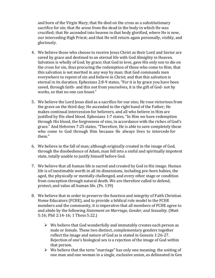and born of the Virgin Mary; that He died on the cross as a substitutionary sacrifice for sin; that He arose from the dead in the body in which He was crucified; that He ascended into heaven in that body glorified, where He is now, our interceding High Priest; and that He will return again personally, visibly, and gloriously.

- 4. We believe those who choose to receive Jesus Christ as their Lord and Savior are saved by grace and destined to an eternal life with God Almighty in Heaven. Salvation is wholly of God; by grace; that God in love, gave His only son to die on the cross for sin, thus procuring the redemption of those who come to Him; that this salvation is not merited in any way by man; that God commands men everywhere to repent of sin and believe in Christ; and that this salvation is eternal in its duration. Ephesians 2:8-9 states, "For it is by grace you have been saved, through faith- and this not from yourselves, it is the gift of God- not by works, so that no one can boast."
- 5. We believe the Lord Jesus died as a sacrifice for our sins; He rose victorious from the grave on the third day; He ascended to the right hand of the Father; He makes continual intercession for believers, and all who believe in Him are justified by His shed blood. Ephesians 1:7 states, "In Him we have redemption through His blood, the forgiveness of sins, in accordance with the riches of God's grace." And Hebrews 7:25 states, "Therefore, He is able to save completely those who come to God through Him because He always lives to intercede for them."
- 6. We believe in the fall of man; although originally created in the image of God, through the disobedience of Adam, man fell into a sinful and spiritually impotent state, totally unable to justify himself before God.
- 7. We believe that all human life is sacred and created by God in His image. Human life is of inestimable worth in all its dimensions, including pre-born babies, the aged, the physically or mentally challenged, and every other stage or condition from conception through natural death. We are therefore called to defend, protect, and value all human life. (Ps. 139)
- 8. We believe that in order to preserve the function and integrity of Faith Christian Home Educators (FCHE), and to provide a biblical role model to the FCHE members and the community, it is imperative that all members of FCHE agree to and abide by the following Statement on Marriage, Gender, and Sexuality. (Matt 5:16; Phil 2:14-16; 1 Thess 5:22.)
	- $\triangleright$  We believe that God wonderfully and immutably creates each person as male or female. These two distinct, complementary genders together reflect the image and nature of God as is stated in Genesis 1:26-27. Rejection of one's biological sex is a rejection of the image of God within that person.
	- $\triangleright$  We believe that the term "marriage" has only one meaning: the uniting of one man and one woman in a single, exclusive union, as delineated in Gen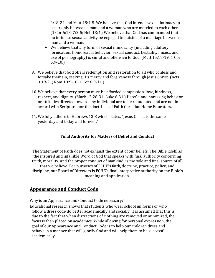2:18-24 and Matt 19:4-5. We believe that God intends sexual intimacy to occur only between a man and a woman who are married to each other. (1 Cor 6:18; 7:2-5; Heb 13:4.) We believe that God has commanded that no intimate sexual activity be engaged in outside of a marriage between a man and a woman.

- $\triangleright$  We believe that any form of sexual immorality (including adultery, fornication, homosexual behavior, sexual conduct, bestiality, incest, and use of pornography) is sinful and offensive to God. (Matt 15:18-19; 1 Cor 6:9-10.)
- 9. We believe that God offers redemption and restoration to all who confess and forsake their sin, seeking His mercy and forgiveness through Jesus Christ. (Acts 3:19-21; Rom 10:9-10; 1 Cor 6:9-11.)
- 10. We believe that every person must be afforded compassion, love, kindness, respect, and dignity. (Mark 12:28-31; Luke 6:31.) Hateful and harassing behavior or attitudes directed toward any individual are to be repudiated and are not in accord with Scripture nor the doctrines of Faith Christian Home Educators.
- 11. We fully adhere to Hebrews 13:8 which states, "Jesus Christ is the same yesterday and today and forever."

#### Final Authority for Matters of Belief and Conduct

The Statement of Faith does not exhaust the extent of our beliefs. The Bible itself, as the inspired and infallible Word of God that speaks with final authority concerning truth, morality, and the proper conduct of mankind, is the sole and final source of all that we believe. For purposes of FCHE's faith, doctrine, practice, policy, and discipline, our Board of Directors is FCHE's final interpretive authority on the Bible's meaning and application.

#### Appearance and Conduct Code

Why is an Appearance and Conduct Code necessary?

Educational research shows that students who wear school uniforms or who follow a dress code do better academically and socially. It is assumed that this is due to the fact that when distractions of clothing are removed or minimized, the focus is then placed on academics. While allowing for personal expression, the goal of our Appearance and Conduct Code is to help our children dress and behave in a manner that will glorify God and will help them to be successful academically.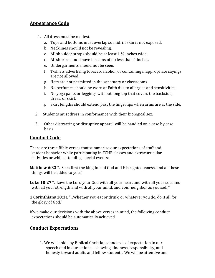#### Appearance Code

- 1. All dress must be modest.
	- a. Tops and bottoms must overlap so midriff skin is not exposed.
	- b. Necklines should not be revealing.
	- c. All shoulder straps should be at least  $1\frac{1}{2}$  inches wide.
	- d. All shorts should have inseams of no less than 4 inches.
	- e. Undergarments should not be seen.
	- f. T-shirts advertising tobacco, alcohol, or containing inappropriate sayings are not allowed.
	- g. Hats are not permitted in the sanctuary or classrooms.
	- h. No perfumes should be worn at Faith due to allergies and sensitivities.
	- i. No yoga pants or leggings without long top that covers the backside, dress, or skirt.
	- j. Skirt lengths should extend past the fingertips when arms are at the side.
- 2. Students must dress in conformance with their biological sex.
- 3. Other distracting or disruptive apparel will be handled on a case by case basis

#### Conduct Code

There are three Bible verses that summarize our expectations of staff and student behavior while participating in FCHE classes and extracurricular activities or while attending special events:

Matthew 6:33 "... Seek first the kingdom of God and His righteousness, and all these things will be added to you."

Luke 10:27 "...Love the Lord your God with all your heart and with all your soul and with all your strength and with all your mind, and your neighbor as yourself."

1 Corinthians 10:31 "...Whether you eat or drink, or whatever you do, do it all for the glory of God."

If we make our decisions with the above verses in mind, the following conduct expectations should be automatically achieved.

#### Conduct Expectations

1. We will abide by Biblical Christian standards of expectation in our speech and in our actions – showing kindness, responsibility, and honesty toward adults and fellow students. We will be attentive and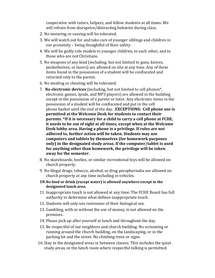cooperative with tutors, helpers, and fellow students at all times. We will refrain from disruptive/distracting behavior during class.

- 2. No swearing or cussing will be tolerated.
- 3. We will watch out for and take care of younger siblings and children in our proximity – being thoughtful of their safety.
- 4. We will be godly role models to younger children, to each other, and to those who are not Christians.
- 5. No weapons of any kind (including, but not limited to guns, knives, pocketknives, or lasers) are allowed on site at any time. Any of these items found in the possession of a student will be confiscated and returned only to the parent.
- 6. No stealing or cheating will be tolerated.
- 7. No electronic devices (including, but not limited to cell phones\*, electronic games, Ipods, and MP3 players) are allowed in the building except in the possession of a parent or tutor. Any electronic items in the possession of a student will be confiscated and put in the cell phone basket until the end of the day. EXCEPTIONS: Cell phone use is permitted at the Welcome Desk for students to contact their parents. \*If it is necessary for a child to carry a cell phone at FCHE, it needs to be out of sight at all times, except when at the Welcome Desk lobby area. Having a phone is a privilege. If rules are not adhered to, further action will be taken. Students may use computers and tablets by themselves (for homework purposes only) in the designated study areas. If the computer/tablet is used for anything other than homework, the privilege will be taken away for the semester.
- 8. No skateboards, heelies, or similar recreational toys will be allowed on church property.
- 9. No illegal drugs, tobacco, alcohol, or drug paraphernalia are allowed on church property at any time including in vehicles.
- 10.No food or drink (except water) is allowed anywhere except in the designated lunch area.
- 11. Inappropriate touch is not allowed at any time. The FCHE Board has full authority to determine what defines inappropriate touch.
- 12. Students will only use restrooms of their biological sex.
- 13. Gambling, with or without the use of money, is not allowed on the premises.
- 14. Please pick up after yourself at lunch and throughout the day.
- 15. Be respectful of our neighbors and church building. No screaming or running around the church building, on the landscaping, or in the parking lot and the street. No climbing trees or signs.
- 16. Stay in the designated areas in between classes. This includes the quiet study areas, or the lunch room where respectful talking is permitted.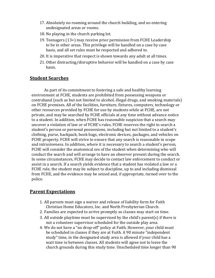- 17. Absolutely no roaming around the church building, and no entering undesignated areas or rooms.
- 18. No playing in the church parking lot.
- 19. Teenagers (13+) may receive prior permission from FCHE Leadership to be in other areas. This privilege will be handled on a case by case basis, and all set rules must be respected and adhered to.
- 20. It is imperative that respect is shown towards any adult at all times.
- 21. Other distracting/disruptive behavior will be handled on a case by case basis.

#### Student Searches

As part of its commitment to fostering a safe and healthy learning environment at FCHE, students are prohibited from possessing weapons or contraband (such as but not limited to alcohol, illegal drugs, and smoking materials) on FCHE premises. All of the facilities, furniture, fixtures, computers, technology or other resources provided by FCHE for use by students while at FCHE, are not private, and may be searched by FCHE officials at any time without advance notice to a student. In addition, when FCHE has reasonable suspicion that a search may uncover a violation of law or of FCHE's rules, FCHE reserves the right to search a student's person or personal possessions, including but not limited to a student's clothing, purse, backpack, book bags, electronic devices, packages, and vehicles on FCHE property. FCHE will strive to ensure that any search is reasonable in scope and intrusiveness. In addition, where it is necessary to search a student's person, FCHE will consider the anatomical sex of the student when determining who will conduct the search and will arrange to have an observer present during the search. In some circumstances, FCHE may decide to contact law enforcement to conduct or assist in a search. If a search yields evidence that a student has violated a law or a FCHE rule, the student may be subject to discipline, up to and including dismissal from FCHE, and the evidence may be seized and, if appropriate, turned over to the police.

#### Parent Expectations

- 1. All parents must sign a waiver and release of liability form for Faith Christian Home Educators, Inc. and North Presbyterian Church.
- 2. Families are expected to arrive promptly so classes may start on time.
- 3. All outside playtime must be supervised by the child's parent(s) if there is not a volunteer supervisor scheduled for the outside play area.
- 4. We do not have a "no drop-off" policy at Faith. However, your child must be scheduled in classes if they are at Faith. A 90 minute "independent study" time, in the designated study area is allowed if your child has a wait time in between classes. All students will agree not to leave the church grounds during this study time. Unscheduled time longer than 90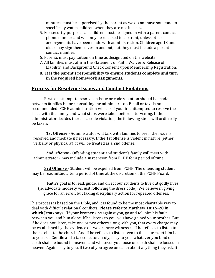minutes, must be supervised by the parent as we do not have someone to specifically watch children when they are not in class.

- 5. For security purposes all children must be signed in with a parent contact phone number and will only be released to a parent, unless other arrangements have been made with administration. Children age 13 and older may sign themselves in and out, but they must include a parent contact number.
- 6. Parents must pay tuition on time as designated on the website.
- 7. All families must affirm the Statement of Faith, Waiver & Release of Liability, and Background Check Consent upon Membership Registration.
- 8. It is the parent's responsibility to ensure students complete and turn in the required homework assignments.

#### Process for Resolving Issues and Conduct Violations

First, an attempt to resolve an issue or code violation should be made between families before consulting the administrator. Email or text is not recommended. FCHE administration will ask if you first attempted to resolve the issue with the family and what steps were taken before intervening. If the administrator decides there is a code violation, the following steps will ordinarily be taken:

1st Offense - Administrator will talk with families to see if the issue is resolved and mediate if necessary. If the 1st offense is violent in nature (either verbally or physically), it will be treated as a 2nd offense.

2nd Offense - Offending student and student's family will meet with administrator - may include a suspension from FCHE for a period of time.

3rd Offense - Student will be expelled from FCHE. The offending student may be readmitted after a period of time at the discretion of the FCHE Board.

Faith's goal is to lead, guide, and direct our students to live out godly lives (ie. advocate modesty vs. just following the dress code). We believe in giving grace for an error, but taking disciplinary action for repeated offenses.

This process is based on the Bible, and it is found to be the most charitable way to deal with difficult relational conflicts. Please refer to Matthew 18:15-20 in which Jesus says, "If your brother sins against you, go and tell him his fault, between you and him alone. If he listens to you, you have gained your brother. But if he does not listen, take one or two others along with you, that every charge may be established by the evidence of two or three witnesses. If he refuses to listen to them, tell it to the church. And if he refuses to listen even to the church, let him be to you as a Gentile and a tax collector. Truly, I say to you, whatever you bind on earth shall be bound in heaven, and whatever you loose on earth shall be loosed in heaven. Again I say to you, if two of you agree on earth about anything they ask, it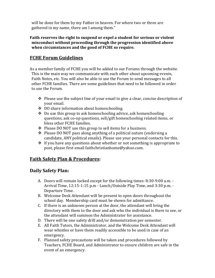will be done for them by my Father in heaven. For where two or three are gathered in my name, there am I among them."

Faith reserves the right to suspend or expel a student for serious or violent misconduct without proceeding through the progression identified above when circumstances and the good of FCHE so require.

#### FCHE Forum Guidelines

As a member family of FCHE you will be added to our Forums through the website. This is the main way we communicate with each other about upcoming events, Faith Notes, etc. You will also be able to use the Forum to send messages to all other FCHE families. There are some guidelines that need to be followed in order to use the Forum.

- $\triangle$  Please use the subject line of your email to give a clear, concise description of your email.
- ◆ DO share information about homeschooling.
- $\triangle$  Do use this group to ask homeschooling advice, ask homeschooling questions, ask co-op questions, sell/gift homeschooling related items, or bless other FCHE families.
- $\div$  Please DO NOT use this group to sell items for a business.
- $\triangle$  Please DO NOT pass along anything of a political nature (endorsing a candidate, ANY political emails). Please use your personal contacts for this.
- $\cdot$  If you have any questions about whether or not something is appropriate to post, please first email faithchristianhome@yahoo.com.

#### Faith Safety Plan & Procedures:

#### Daily Safety Plan:

- A. Doors will remain locked except for the following times: 8:30-9:00 a.m. Arrival Time, 12:15-1:15 p.m - Lunch/Outside Play Time, and 3:30 p.m. - Departure Time.
- B. Welcome Desk Attendant will be present to open doors throughout the school day. Membership card must be shown for admittance.
- C. If there is an unknown person at the door, the attendant will bring the directory with them to the door and ask who the individual is there to see, or the attendant will summon the Administrator for assistance.
- D. There will be one safety drill and/or demonstration per semester.
- E. All Faith Tutors, the Administrator, and the Welcome Desk Attendant will wear whistles or have them readily accessible to be used in case of an emergency.
- F. Planned safety precautions will be taken and procedures followed by Teachers, FCHE Board, and Administrator to ensure children are safe in the event of an emergency.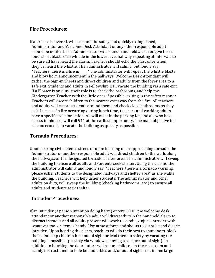#### Fire Procedures:

If a fire is discovered, which cannot be safely and quickly extinguished, Administrator and Welcome Desk Attendant or any other responsible adult should be notified. The Administrator will sound hand held alarm or give three loud, short blasts on a whistle in the lower level hallway repeating at intervals to be sure all have heard the alarm. Teachers should echo the blast once when they've heard the whistle. The administrator will calmly, but loudly say, "Teachers, there is a fire in\_\_\_\_." The administrator will repeat the whistle blasts and blow horn announcement in the hallways. Welcome Desk Attendant will gather the Sign-in Sheets and direct children and adults from the foyer area to a safe exit. Students and adults in Fellowship Hall vacate the building via a safe exit. If a Floater is on duty, their role is to check the bathrooms, and help the Kindergarten Teacher with the little ones if possible, exiting in the safest manner. Teachers will escort children to the nearest exit away from the fire. All teachers and adults will escort students around them and check close bathrooms as they exit. In case of a fire occurring during lunch time, teachers and working adults have a specific role for action. All will meet in the parking lot, and all, who have access to phones, will call 911 at the earliest opportunity. The main objective for all concerned is to vacate the building as quickly as possible.

#### Tornado Procedures:

Upon hearing civil defense sirens or upon learning of an approaching tornado, the Administrator or another responsible adult will direct children to the walls along the hallways, or the designated tornado shelter area. The administrator will sweep the building to ensure all adults and students seek shelter. Using the alarms, the administrator will calmly and loudly say, "Teachers, there is a tornado warning, please usher students to the designated hallways and shelter area" as she walks the building. Teachers will help usher students. The administrator and other adults on duty, will sweep the building (checking bathrooms, etc.) to ensure all adults and students seek shelter.

#### Intruder Procedures:

If an intruder (a person intent on doing harm) enters FCHE, the welcome desk attendant or another responsible adult will discreetly trip the handheld alarm to distract intruder and all adults present will work to subdue/injure intruder with whatever tool or item is handy. Use utmost force and shouts to surprise and disarm intruder . Upon hearing the alarm, teachers will do their best to shut doors, block them, and help children hide out of sight or lead them to safety by vacating the building if possible (possibly via windows, moving to a place out of sight). In addition to blocking the door, tutors will secure children in the classroom and calmly instruct them to hide behind tables and/or out of sight - not in one large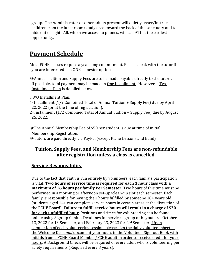group. The Administrator or other adults present will quietly usher/instruct children from the lunchroom/study area toward the back of the sanctuary and to hide out of sight. All, who have access to phones, will call 911 at the earliest opportunity.

### Payment Schedule

Most FCHE classes require a year-long commitment. Please speak with the tutor if you are interested in a ONE semester option.

❧Annual Tuition and Supply Fees are to be made payable directly to the tutors. If possible, total payment may be made in  $One$  installment. However, a  $Two$ Installment Plan is detailed below:

TWO Installment Plan:

 $1$ <sup>\*</sup>Installment (1/2 Combined Total of Annual Tuition + Supply Fee) due by April 22, 2022 (or at the time of registration).

 $2<sup>nd</sup>$  Installment (1/2 Combined Total of Annual Tuition + Supply Fee) due by August 25, 2022.

❧The Annual Membership Fee of \$50 per student is due at time of initial Membership Registration.

❧Tutors are paid directly via PayPal (except Piano Lessons and Band)

#### Tuition, Supply Fees, and Membership Fees are non-refundable after registration unless a class is cancelled.

#### Service Responsibility

Due to the fact that Faith is run entirely by volunteers, each family's participation is vital. Two hours of service time is required for each 1 hour class with a maximum of 16 hours per family Per Semester. Two hours of this time must be performed in a morning or afternoon set-up/clean-up slot each semester. Each family is responsible for having their hours fulfilled by someone 18+ years old (students aged 14+ can complete service hours in certain areas at the discretion of the FCHE Board). Failure to fulfill service hours will result in a charge of \$20 for each unfulfilled hour. Positions and times for volunteering can be found online using Sign-up Genius. Deadlines for service sign-up or buyout are: October 13, 2022 for 1<sup>st</sup> Semester, and February 23, 2023 for 2<sup>nd</sup> Semester. Upon completion of each volunteering session, please sign the daily volunteer sheet at the Welcome Desk and document your hours in the Volunteer Sign-out Book with initials from a FCHE Board Member/FCHE adult in order to receive credit for your hours. A Background Check will be required of every adult who is volunteering per safety requirements (Required every 3 years).